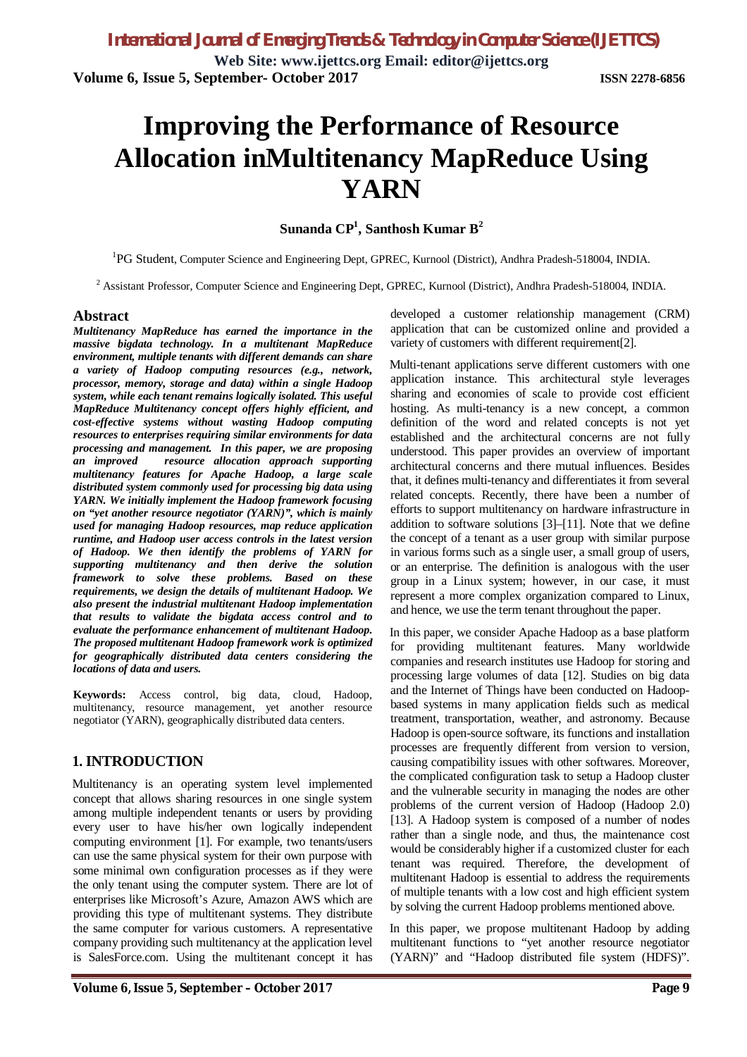**Web Site: www.ijettcs.org Email: editor@ijettcs.org Volume 6, Issue 5, September- October 2017 ISSN 2278-6856**

# **Improving the Performance of Resource Allocation inMultitenancy MapReduce Using YARN**

**Sunanda CP<sup>1</sup> , Santhosh Kumar B<sup>2</sup>**

<sup>1</sup>PG Student, Computer Science and Engineering Dept, GPREC, Kurnool (District), Andhra Pradesh-518004, INDIA.

<sup>2</sup> Assistant Professor, Computer Science and Engineering Dept, GPREC, Kurnool (District), Andhra Pradesh-518004, INDIA.

#### **Abstract**

*Multitenancy MapReduce has earned the importance in the massive bigdata technology. In a multitenant MapReduce environment, multiple tenants with different demands can share a variety of Hadoop computing resources (e.g., network, processor, memory, storage and data) within a single Hadoop system, while each tenant remains logically isolated. This useful MapReduce Multitenancy concept offers highly efficient, and cost-effective systems without wasting Hadoop computing resources to enterprises requiring similar environments for data processing and management. In this paper, we are proposing an improved resource allocation approach supporting multitenancy features for Apache Hadoop, a large scale distributed system commonly used for processing big data using YARN. We initially implement the Hadoop framework focusing on "yet another resource negotiator (YARN)", which is mainly used for managing Hadoop resources, map reduce application runtime, and Hadoop user access controls in the latest version of Hadoop. We then identify the problems of YARN for supporting multitenancy and then derive the solution framework to solve these problems. Based on these requirements, we design the details of multitenant Hadoop. We also present the industrial multitenant Hadoop implementation that results to validate the bigdata access control and to evaluate the performance enhancement of multitenant Hadoop. The proposed multitenant Hadoop framework work is optimized for geographically distributed data centers considering the locations of data and users.*

**Keywords:** Access control, big data, cloud, Hadoop, multitenancy, resource management, yet another resource negotiator (YARN), geographically distributed data centers.

#### **1. INTRODUCTION**

Multitenancy is an operating system level implemented concept that allows sharing resources in one single system among multiple independent tenants or users by providing every user to have his/her own logically independent computing environment [1]. For example, two tenants/users can use the same physical system for their own purpose with some minimal own configuration processes as if they were the only tenant using the computer system. There are lot of enterprises like Microsoft's Azure, Amazon AWS which are providing this type of multitenant systems. They distribute the same computer for various customers. A representative company providing such multitenancy at the application level is SalesForce.com. Using the multitenant concept it has

developed a customer relationship management (CRM) application that can be customized online and provided a variety of customers with different requirement[2].

Multi-tenant applications serve different customers with one application instance. This architectural style leverages sharing and economies of scale to provide cost efficient hosting. As multi-tenancy is a new concept, a common definition of the word and related concepts is not yet established and the architectural concerns are not fully understood. This paper provides an overview of important architectural concerns and there mutual influences. Besides that, it defines multi-tenancy and differentiates it from several related concepts. Recently, there have been a number of efforts to support multitenancy on hardware infrastructure in addition to software solutions [3]–[11]. Note that we define the concept of a tenant as a user group with similar purpose in various forms such as a single user, a small group of users, or an enterprise. The definition is analogous with the user group in a Linux system; however, in our case, it must represent a more complex organization compared to Linux, and hence, we use the term tenant throughout the paper.

In this paper, we consider Apache Hadoop as a base platform for providing multitenant features. Many worldwide companies and research institutes use Hadoop for storing and processing large volumes of data [12]. Studies on big data and the Internet of Things have been conducted on Hadoopbased systems in many application fields such as medical treatment, transportation, weather, and astronomy. Because Hadoop is open-source software, its functions and installation processes are frequently different from version to version, causing compatibility issues with other softwares. Moreover, the complicated configuration task to setup a Hadoop cluster and the vulnerable security in managing the nodes are other problems of the current version of Hadoop (Hadoop 2.0) [13]. A Hadoop system is composed of a number of nodes rather than a single node, and thus, the maintenance cost would be considerably higher if a customized cluster for each tenant was required. Therefore, the development of multitenant Hadoop is essential to address the requirements of multiple tenants with a low cost and high efficient system by solving the current Hadoop problems mentioned above.

In this paper, we propose multitenant Hadoop by adding multitenant functions to "yet another resource negotiator (YARN)" and "Hadoop distributed file system (HDFS)".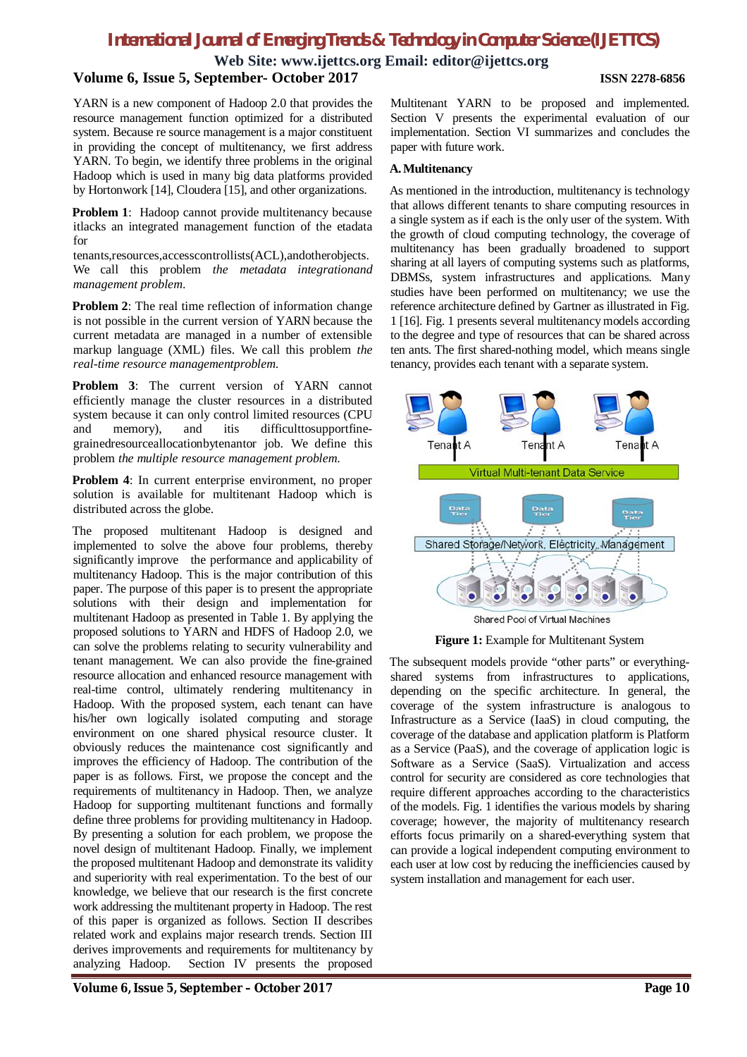**Web Site: www.ijettcs.org Email: editor@ijettcs.org**

#### **Volume 6, Issue 5, September- October 2017 ISSN 2278-6856**

YARN is a new component of Hadoop 2.0 that provides the resource management function optimized for a distributed system. Because re source management is a major constituent in providing the concept of multitenancy, we first address YARN. To begin, we identify three problems in the original Hadoop which is used in many big data platforms provided by Hortonwork [14], Cloudera [15], and other organizations.

**Problem 1**: Hadoop cannot provide multitenancy because itlacks an integrated management function of the etadata for

tenants,resources,accesscontrollists(ACL),andotherobjects. We call this problem *the metadata integrationand management problem*.

**Problem 2**: The real time reflection of information change is not possible in the current version of YARN because the current metadata are managed in a number of extensible markup language (XML) files. We call this problem *the real-time resource managementproblem*.

**Problem 3**: The current version of YARN cannot efficiently manage the cluster resources in a distributed system because it can only control limited resources (CPU and memory), and itis difficulttosupportfinegrainedresourceallocationbytenantor job. We define this problem *the multiple resource management problem*.

**Problem 4**: In current enterprise environment, no proper solution is available for multitenant Hadoop which is distributed across the globe.

The proposed multitenant Hadoop is designed and implemented to solve the above four problems, thereby significantly improve the performance and applicability of multitenancy Hadoop. This is the major contribution of this paper. The purpose of this paper is to present the appropriate solutions with their design and implementation for multitenant Hadoop as presented in Table 1. By applying the proposed solutions to YARN and HDFS of Hadoop 2.0, we can solve the problems relating to security vulnerability and tenant management. We can also provide the fine-grained resource allocation and enhanced resource management with real-time control, ultimately rendering multitenancy in Hadoop. With the proposed system, each tenant can have his/her own logically isolated computing and storage environment on one shared physical resource cluster. It obviously reduces the maintenance cost significantly and improves the efficiency of Hadoop. The contribution of the paper is as follows. First, we propose the concept and the requirements of multitenancy in Hadoop. Then, we analyze Hadoop for supporting multitenant functions and formally define three problems for providing multitenancy in Hadoop. By presenting a solution for each problem, we propose the novel design of multitenant Hadoop. Finally, we implement the proposed multitenant Hadoop and demonstrate its validity and superiority with real experimentation. To the best of our knowledge, we believe that our research is the first concrete work addressing the multitenant property in Hadoop. The rest of this paper is organized as follows. Section II describes related work and explains major research trends. Section III derives improvements and requirements for multitenancy by analyzing Hadoop. Section IV presents the proposed

Multitenant YARN to be proposed and implemented. Section V presents the experimental evaluation of our implementation. Section VI summarizes and concludes the paper with future work.

#### **A.Multitenancy**

As mentioned in the introduction, multitenancy is technology that allows different tenants to share computing resources in a single system as if each is the only user of the system. With the growth of cloud computing technology, the coverage of multitenancy has been gradually broadened to support sharing at all layers of computing systems such as platforms, DBMSs, system infrastructures and applications. Many studies have been performed on multitenancy; we use the reference architecture defined by Gartner as illustrated in Fig. 1 [16]. Fig. 1 presents several multitenancy models according to the degree and type of resources that can be shared across ten ants. The first shared-nothing model, which means single tenancy, provides each tenant with a separate system.



**Figure 1:** Example for Multitenant System

The subsequent models provide "other parts" or everythingshared systems from infrastructures to applications, depending on the specific architecture. In general, the coverage of the system infrastructure is analogous to Infrastructure as a Service (IaaS) in cloud computing, the coverage of the database and application platform is Platform as a Service (PaaS), and the coverage of application logic is Software as a Service (SaaS). Virtualization and access control for security are considered as core technologies that require different approaches according to the characteristics of the models. Fig. 1 identifies the various models by sharing coverage; however, the majority of multitenancy research efforts focus primarily on a shared-everything system that can provide a logical independent computing environment to each user at low cost by reducing the inefficiencies caused by system installation and management for each user.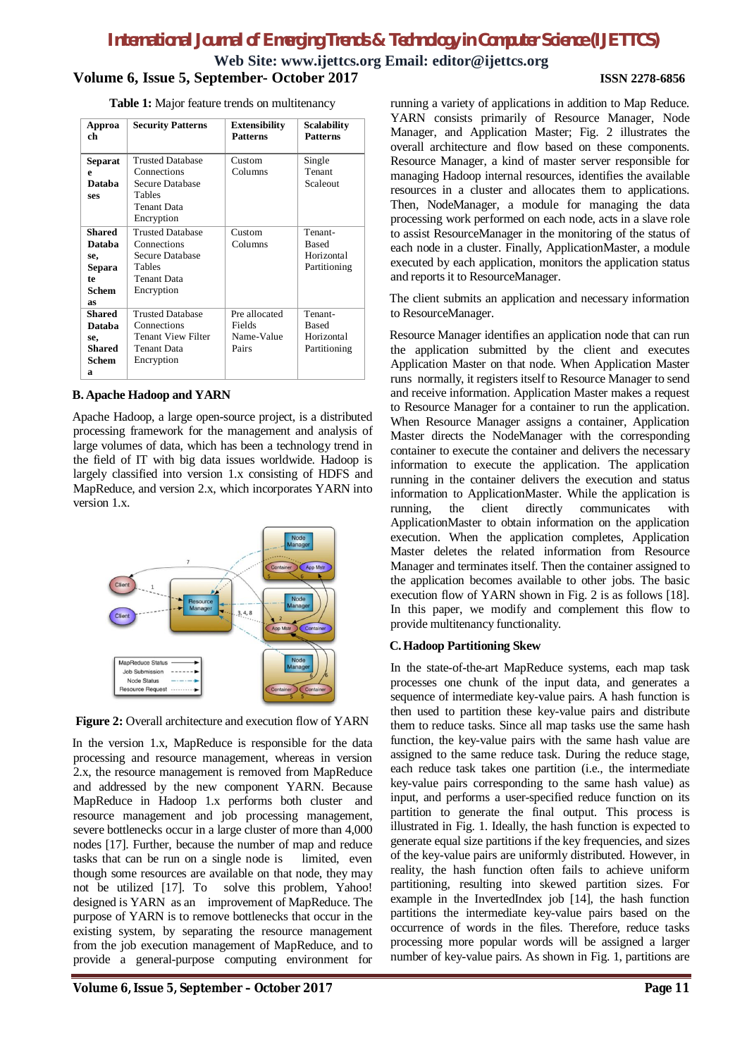**Web Site: www.ijettcs.org Email: editor@ijettcs.org**

### **Volume 6, Issue 5, September- October 2017 ISSN 2278-6856**

**Table 1:** Major feature trends on multitenancy

| Approa<br>ch   | <b>Security Patterns</b> | <b>Extensibility</b><br><b>Patterns</b> | <b>Scalability</b><br><b>Patterns</b> |
|----------------|--------------------------|-----------------------------------------|---------------------------------------|
| <b>Separat</b> | <b>Trusted Database</b>  | Custom                                  | Single                                |
| e              | Connections              | Columns                                 | Tenant                                |
| Databa         | Secure Database          |                                         | Scaleout                              |
| ses            | Tables                   |                                         |                                       |
|                | Tenant Data              |                                         |                                       |
|                | Encryption               |                                         |                                       |
| <b>Shared</b>  | <b>Trusted Database</b>  | Custom                                  | Tenant-                               |
| Databa         | Connections              | Columns                                 | <b>Based</b>                          |
| se,            | Secure Database          |                                         | Horizontal                            |
| Separa         | Tables                   |                                         | Partitioning                          |
| te.            | Tenant Data              |                                         |                                       |
| Schem          | Encryption               |                                         |                                       |
| as             |                          |                                         |                                       |
| <b>Shared</b>  | <b>Trusted Database</b>  | Pre allocated                           | Tenant-                               |
| Databa         | Connections              | <b>Fields</b>                           | <b>Based</b>                          |
| se,            | Tenant View Filter       | Name-Value                              | Horizontal                            |
| <b>Shared</b>  | Tenant Data              | Pairs                                   | Partitioning                          |
| Schem          | Encryption               |                                         |                                       |
| a              |                          |                                         |                                       |

#### **B. Apache Hadoop and YARN**

Apache Hadoop, a large open-source project, is a distributed processing framework for the management and analysis of large volumes of data, which has been a technology trend in the field of IT with big data issues worldwide. Hadoop is largely classified into version 1.x consisting of HDFS and MapReduce, and version 2.x, which incorporates YARN into version 1.x.



**Figure 2:** Overall architecture and execution flow of YARN

In the version 1.x, MapReduce is responsible for the data processing and resource management, whereas in version 2.x, the resource management is removed from MapReduce and addressed by the new component YARN. Because MapReduce in Hadoop 1.x performs both cluster and resource management and job processing management, severe bottlenecks occur in a large cluster of more than 4,000 nodes [17]. Further, because the number of map and reduce tasks that can be run on a single node is limited, even though some resources are available on that node, they may not be utilized [17]. To solve this problem, Yahoo! designed is YARN as an improvement of MapReduce. The purpose of YARN is to remove bottlenecks that occur in the existing system, by separating the resource management from the job execution management of MapReduce, and to provide a general-purpose computing environment for running a variety of applications in addition to Map Reduce. YARN consists primarily of Resource Manager, Node Manager, and Application Master; Fig. 2 illustrates the overall architecture and flow based on these components. Resource Manager, a kind of master server responsible for managing Hadoop internal resources, identifies the available resources in a cluster and allocates them to applications. Then, NodeManager, a module for managing the data processing work performed on each node, acts in a slave role to assist ResourceManager in the monitoring of the status of each node in a cluster. Finally, ApplicationMaster, a module executed by each application, monitors the application status and reports it to ResourceManager.

The client submits an application and necessary information to ResourceManager.

Resource Manager identifies an application node that can run the application submitted by the client and executes Application Master on that node. When Application Master runs normally, it registers itself to Resource Manager to send and receive information. Application Master makes a request to Resource Manager for a container to run the application. When Resource Manager assigns a container, Application Master directs the NodeManager with the corresponding container to execute the container and delivers the necessary information to execute the application. The application running in the container delivers the execution and status information to ApplicationMaster. While the application is running, the client directly communicates with ApplicationMaster to obtain information on the application execution. When the application completes, Application Master deletes the related information from Resource Manager and terminates itself. Then the container assigned to the application becomes available to other jobs. The basic execution flow of YARN shown in Fig. 2 is as follows [18]. In this paper, we modify and complement this flow to provide multitenancy functionality.

### **C.Hadoop Partitioning Skew**

In the state-of-the-art MapReduce systems, each map task processes one chunk of the input data, and generates a sequence of intermediate key-value pairs. A hash function is then used to partition these key-value pairs and distribute them to reduce tasks. Since all map tasks use the same hash function, the key-value pairs with the same hash value are assigned to the same reduce task. During the reduce stage, each reduce task takes one partition (i.e., the intermediate key-value pairs corresponding to the same hash value) as input, and performs a user-specified reduce function on its partition to generate the final output. This process is illustrated in Fig. 1. Ideally, the hash function is expected to generate equal size partitions if the key frequencies, and sizes of the key-value pairs are uniformly distributed. However, in reality, the hash function often fails to achieve uniform partitioning, resulting into skewed partition sizes. For example in the InvertedIndex job [14], the hash function partitions the intermediate key-value pairs based on the occurrence of words in the files. Therefore, reduce tasks processing more popular words will be assigned a larger number of key-value pairs. As shown in Fig. 1, partitions are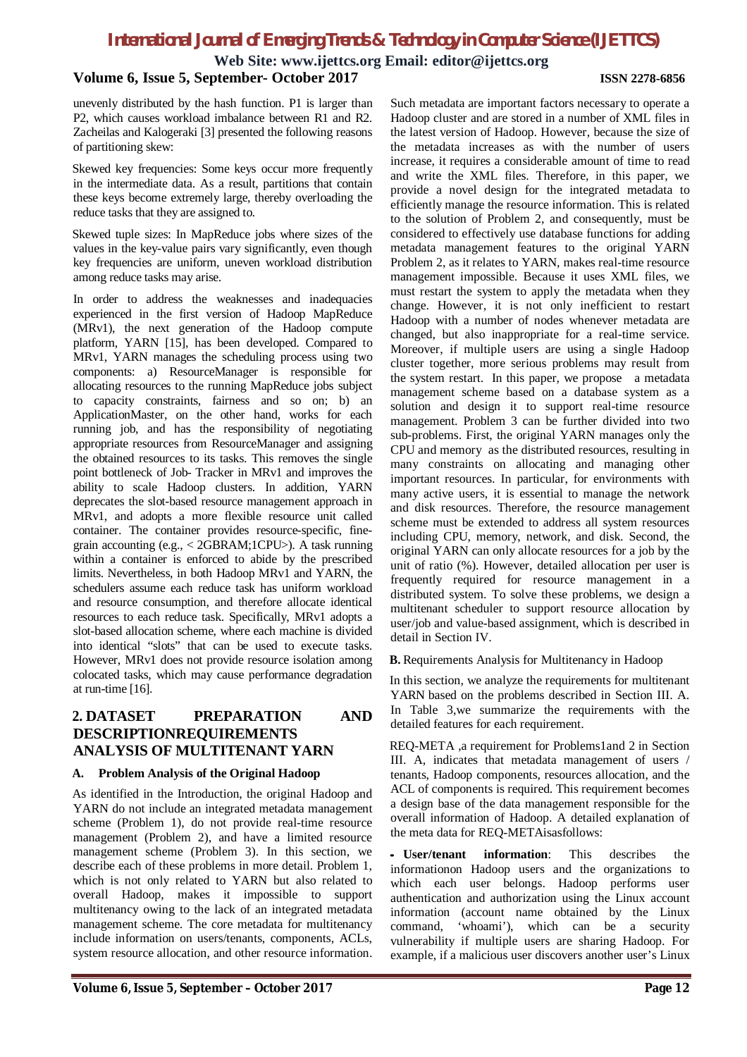**Web Site: www.ijettcs.org Email: editor@ijettcs.org**

#### **Volume 6, Issue 5, September- October 2017 ISSN 2278-6856**

unevenly distributed by the hash function. P1 is larger than P2, which causes workload imbalance between R1 and R2. Zacheilas and Kalogeraki [3] presented the following reasons of partitioning skew:

Skewed key frequencies: Some keys occur more frequently in the intermediate data. As a result, partitions that contain these keys become extremely large, thereby overloading the reduce tasks that they are assigned to.

Skewed tuple sizes: In MapReduce jobs where sizes of the values in the key-value pairs vary significantly, even though key frequencies are uniform, uneven workload distribution among reduce tasks may arise.

In order to address the weaknesses and inadequacies experienced in the first version of Hadoop MapReduce (MRv1), the next generation of the Hadoop compute platform, YARN [15], has been developed. Compared to MRv1, YARN manages the scheduling process using two components: a) ResourceManager is responsible for allocating resources to the running MapReduce jobs subject to capacity constraints, fairness and so on; b) an ApplicationMaster, on the other hand, works for each running job, and has the responsibility of negotiating appropriate resources from ResourceManager and assigning the obtained resources to its tasks. This removes the single point bottleneck of Job- Tracker in MRv1 and improves the ability to scale Hadoop clusters. In addition, YARN deprecates the slot-based resource management approach in MRv1, and adopts a more flexible resource unit called container. The container provides resource-specific, finegrain accounting (e.g., < 2GBRAM;1CPU>). A task running within a container is enforced to abide by the prescribed limits. Nevertheless, in both Hadoop MRv1 and YARN, the schedulers assume each reduce task has uniform workload and resource consumption, and therefore allocate identical resources to each reduce task. Specifically, MRv1 adopts a slot-based allocation scheme, where each machine is divided into identical "slots" that can be used to execute tasks. However, MRv1 does not provide resource isolation among colocated tasks, which may cause performance degradation at run-time [16].

## **2. DATASET PREPARATION AND DESCRIPTIONREQUIREMENTS ANALYSIS OF MULTITENANT YARN**

#### **A. Problem Analysis of the Original Hadoop**

As identified in the Introduction, the original Hadoop and YARN do not include an integrated metadata management scheme (Problem 1), do not provide real-time resource management (Problem 2), and have a limited resource management scheme (Problem 3). In this section, we describe each of these problems in more detail. Problem 1, which is not only related to YARN but also related to overall Hadoop, makes it impossible to support multitenancy owing to the lack of an integrated metadata management scheme. The core metadata for multitenancy include information on users/tenants, components, ACLs, system resource allocation, and other resource information.

Such metadata are important factors necessary to operate a Hadoop cluster and are stored in a number of XML files in the latest version of Hadoop. However, because the size of the metadata increases as with the number of users increase, it requires a considerable amount of time to read and write the XML files. Therefore, in this paper, we provide a novel design for the integrated metadata to efficiently manage the resource information. This is related to the solution of Problem 2, and consequently, must be considered to effectively use database functions for adding metadata management features to the original YARN Problem 2, as it relates to YARN, makes real-time resource management impossible. Because it uses XML files, we must restart the system to apply the metadata when they change. However, it is not only inefficient to restart Hadoop with a number of nodes whenever metadata are changed, but also inappropriate for a real-time service. Moreover, if multiple users are using a single Hadoop cluster together, more serious problems may result from the system restart. In this paper, we propose a metadata management scheme based on a database system as a solution and design it to support real-time resource management. Problem 3 can be further divided into two sub-problems. First, the original YARN manages only the CPU and memory as the distributed resources, resulting in many constraints on allocating and managing other important resources. In particular, for environments with many active users, it is essential to manage the network and disk resources. Therefore, the resource management scheme must be extended to address all system resources including CPU, memory, network, and disk. Second, the original YARN can only allocate resources for a job by the unit of ratio (%). However, detailed allocation per user is frequently required for resource management in a distributed system. To solve these problems, we design a multitenant scheduler to support resource allocation by user/job and value-based assignment, which is described in detail in Section IV.

**B.** Requirements Analysis for Multitenancy in Hadoop

In this section, we analyze the requirements for multitenant YARN based on the problems described in Section III. A. In Table 3,we summarize the requirements with the detailed features for each requirement.

REQ-META ,a requirement for Problems1and 2 in Section III. A, indicates that metadata management of users / tenants, Hadoop components, resources allocation, and the ACL of components is required. This requirement becomes a design base of the data management responsible for the overall information of Hadoop. A detailed explanation of the meta data for REQ-METAisasfollows:

• **User/tenant information**: This describes the informationon Hadoop users and the organizations to which each user belongs. Hadoop performs user authentication and authorization using the Linux account information (account name obtained by the Linux command, 'whoami'), which can be a security vulnerability if multiple users are sharing Hadoop. For example, if a malicious user discovers another user's Linux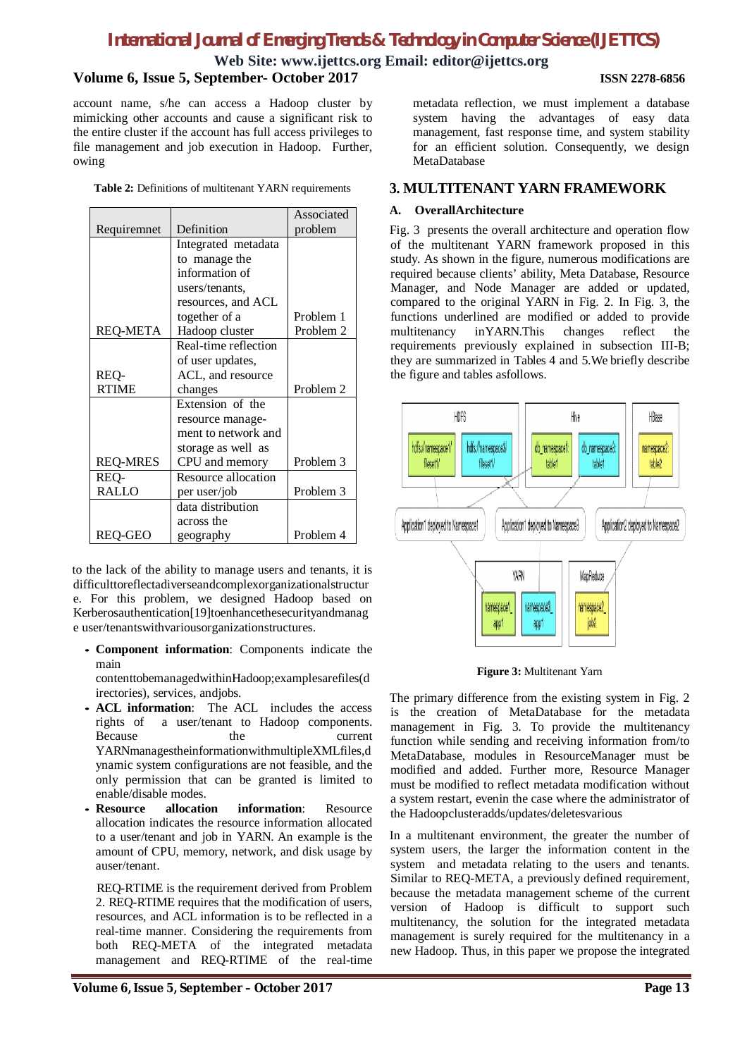#### **Web Site: www.ijettcs.org Email: editor@ijettcs.org Volume 6, Issue 5, September- October 2017 ISSN 2278-6856**

account name, s/he can access a Hadoop cluster by mimicking other accounts and cause a significant risk to the entire cluster if the account has full access privileges to file management and job execution in Hadoop. Further, owing

|  |  | <b>Table 2:</b> Definitions of multitenant YARN requirements |  |  |
|--|--|--------------------------------------------------------------|--|--|
|--|--|--------------------------------------------------------------|--|--|

|                 |                      | Associated |
|-----------------|----------------------|------------|
| Requiremnet     | Definition           | problem    |
|                 | Integrated metadata  |            |
|                 | to manage the        |            |
|                 | information of       |            |
|                 | users/tenants.       |            |
|                 | resources, and ACL   |            |
|                 | together of a        | Problem 1  |
| <b>REQ-META</b> | Hadoop cluster       | Problem 2  |
|                 | Real-time reflection |            |
|                 | of user updates,     |            |
| REQ-            | ACL, and resource    |            |
| <b>RTIME</b>    | changes              | Problem 2  |
|                 | Extension of the     |            |
|                 | resource manage-     |            |
|                 | ment to network and  |            |
|                 | storage as well as   |            |
| <b>REQ-MRES</b> | CPU and memory       | Problem 3  |
| REQ-            | Resource allocation  |            |
| <b>RALLO</b>    | per user/job         | Problem 3  |
|                 | data distribution    |            |
|                 | across the           |            |
| <b>REQ-GEO</b>  | geography            | Problem 4  |

to the lack of the ability to manage users and tenants, it is difficulttoreflectadiverseandcomplexorganizationalstructur e. For this problem, we designed Hadoop based on Kerberosauthentication[19]toenhancethesecurityandmanag e user/tenantswithvariousorganizationstructures.

• **Component information**: Components indicate the main

contenttobemanagedwithinHadoop;examplesarefiles(d irectories), services, andjobs.

- **ACL information**: The ACL includes the access rights of a user/tenant to Hadoop components. Because the current YARNmanagestheinformationwithmultipleXMLfiles,d ynamic system configurations are not feasible, and the only permission that can be granted is limited to enable/disable modes.<br>• Resource allocation
- **information:** Resource allocation indicates the resource information allocated to a user/tenant and job in YARN. An example is the amount of CPU, memory, network, and disk usage by auser/tenant.

 REQ-RTIME is the requirement derived from Problem 2. REQ-RTIME requires that the modification of users, resources, and ACL information is to be reflected in a real-time manner. Considering the requirements from both REQ-META of the integrated metadata management and REQ-RTIME of the real-time metadata reflection, we must implement a database system having the advantages of easy data management, fast response time, and system stability for an efficient solution. Consequently, we design MetaDatabase

### **3. MULTITENANT YARN FRAMEWORK**

#### **A. OverallArchitecture**

Fig. 3 presents the overall architecture and operation flow of the multitenant YARN framework proposed in this study. As shown in the figure, numerous modifications are required because clients' ability, Meta Database, Resource Manager, and Node Manager are added or updated, compared to the original YARN in Fig. 2. In Fig. 3, the functions underlined are modified or added to provide multitenancy inYARN.This changes reflect the requirements previously explained in subsection III-B; they are summarized in Tables 4 and 5.We briefly describe the figure and tables asfollows.



**Figure 3:** Multitenant Yarn

The primary difference from the existing system in Fig. 2 is the creation of MetaDatabase for the metadata management in Fig. 3. To provide the multitenancy function while sending and receiving information from/to MetaDatabase, modules in ResourceManager must be modified and added. Further more, Resource Manager must be modified to reflect metadata modification without a system restart, evenin the case where the administrator of the Hadoopclusteradds/updates/deletesvarious

In a multitenant environment, the greater the number of system users, the larger the information content in the system and metadata relating to the users and tenants. Similar to REQ-META, a previously defined requirement, because the metadata management scheme of the current version of Hadoop is difficult to support such multitenancy, the solution for the integrated metadata management is surely required for the multitenancy in a new Hadoop. Thus, in this paper we propose the integrated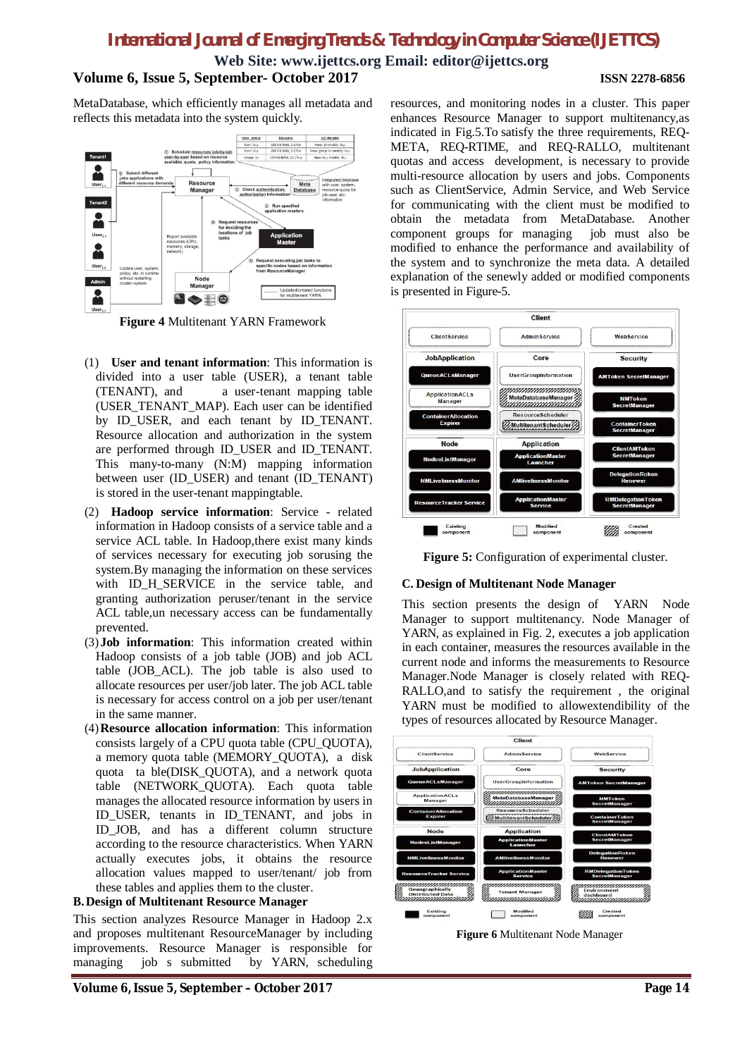**Web Site: www.ijettcs.org Email: editor@ijettcs.org**

#### **Volume 6, Issue 5, September- October 2017 ISSN 2278-6856**

MetaDatabase, which efficiently manages all metadata and reflects this metadata into the system quickly.



**Figure 4** Multitenant YARN Framework

- (1) **User and tenant information**: This information is divided into a user table (USER), a tenant table (TENANT), and a user-tenant mapping table (USER\_TENANT\_MAP). Each user can be identified by ID\_USER, and each tenant by ID\_TENANT. Resource allocation and authorization in the system are performed through ID\_USER and ID\_TENANT. This many-to-many (N:M) mapping information between user (ID\_USER) and tenant (ID\_TENANT) is stored in the user-tenant mappingtable.
- (2) **Hadoop service information**: Service related information in Hadoop consists of a service table and a service ACL table. In Hadoop,there exist many kinds of services necessary for executing job sorusing the system.By managing the information on these services with ID\_H\_SERVICE in the service table, and granting authorization peruser/tenant in the service ACL table,un necessary access can be fundamentally prevented.
- (3)**Job information**: This information created within Hadoop consists of a job table (JOB) and job ACL table (JOB\_ACL). The job table is also used to allocate resources per user/job later. The job ACL table is necessary for access control on a job per user/tenant in the same manner.
- (4)**Resource allocation information**: This information consists largely of a CPU quota table (CPU\_QUOTA), a memory quota table (MEMORY\_QUOTA), a disk quota ta ble(DISK\_QUOTA), and a network quota table (NETWORK\_QUOTA). Each quota table manages the allocated resource information by users in ID\_USER, tenants in ID\_TENANT, and jobs in ID\_JOB, and has a different column structure according to the resource characteristics. When YARN actually executes jobs, it obtains the resource allocation values mapped to user/tenant/ job from these tables and applies them to the cluster.

#### **B.Design of Multitenant Resource Manager**

This section analyzes Resource Manager in Hadoop 2.x and proposes multitenant ResourceManager by including improvements. Resource Manager is responsible for managing job s submitted by YARN, scheduling resources, and monitoring nodes in a cluster. This paper enhances Resource Manager to support multitenancy,as indicated in Fig.5.To satisfy the three requirements, REQ-META, REQ-RTIME, and REQ-RALLO, multitenant quotas and access development, is necessary to provide multi-resource allocation by users and jobs. Components such as ClientService, Admin Service, and Web Service for communicating with the client must be modified to obtain the metadata from MetaDatabase. Another component groups for managing job must also be modified to enhance the performance and availability of the system and to synchronize the meta data. A detailed explanation of the senewly added or modified components is presented in Figure-5.



**Figure 5:** Configuration of experimental cluster.

#### **C. Design of Multitenant Node Manager**

This section presents the design of YARN Node Manager to support multitenancy. Node Manager of YARN, as explained in Fig. 2, executes a job application in each container, measures the resources available in the current node and informs the measurements to Resource Manager.Node Manager is closely related with REQ-RALLO,and to satisfy the requirement , the original YARN must be modified to allowextendibility of the types of resources allocated by Resource Manager.



**Figure 6** Multitenant Node Manager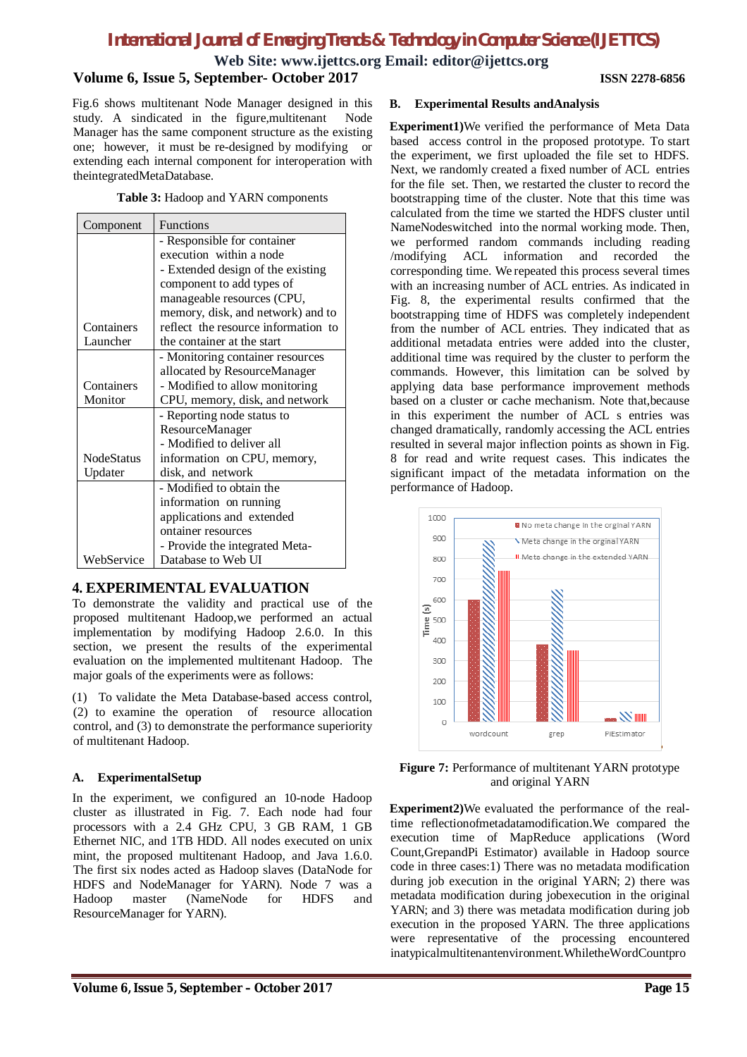**Web Site: www.ijettcs.org Email: editor@ijettcs.org**

#### **Volume 6, Issue 5, September- October 2017 ISSN 2278-6856**

Fig.6 shows multitenant Node Manager designed in this study. A sindicated in the figure,multitenant Node Manager has the same component structure as the existing one; however, it must be re-designed by modifying or extending each internal component for interoperation with theintegratedMetaDatabase.

|  |  |  |  | Table 3: Hadoop and YARN components |
|--|--|--|--|-------------------------------------|
|--|--|--|--|-------------------------------------|

| Component         | <b>Functions</b>                    |  |
|-------------------|-------------------------------------|--|
|                   | - Responsible for container         |  |
|                   | execution within a node             |  |
|                   | - Extended design of the existing   |  |
|                   | component to add types of           |  |
|                   | manageable resources (CPU,          |  |
|                   | memory, disk, and network) and to   |  |
| Containers        | reflect the resource information to |  |
| Launcher          | the container at the start          |  |
|                   | - Monitoring container resources    |  |
|                   | allocated by ResourceManager        |  |
| Containers        | - Modified to allow monitoring      |  |
| Monitor           | CPU, memory, disk, and network      |  |
|                   | - Reporting node status to          |  |
|                   | ResourceManager                     |  |
|                   | - Modified to deliver all           |  |
| <b>NodeStatus</b> | information on CPU, memory,         |  |
| Updater           | disk, and network                   |  |
|                   | - Modified to obtain the            |  |
|                   | information on running              |  |
|                   | applications and extended           |  |
|                   | ontainer resources                  |  |
|                   | - Provide the integrated Meta-      |  |
| WebService        | Database to Web UI                  |  |

# **4. EXPERIMENTAL EVALUATION**

To demonstrate the validity and practical use of the proposed multitenant Hadoop,we performed an actual implementation by modifying Hadoop 2.6.0. In this section, we present the results of the experimental evaluation on the implemented multitenant Hadoop. The major goals of the experiments were as follows:

(1) To validate the Meta Database-based access control, (2) to examine the operation of resource allocation control, and (3) to demonstrate the performance superiority of multitenant Hadoop.

### **A. ExperimentalSetup**

In the experiment, we configured an 10-node Hadoop cluster as illustrated in Fig. 7. Each node had four processors with a 2.4 GHz CPU, 3 GB RAM, 1 GB Ethernet NIC, and 1TB HDD. All nodes executed on unix mint, the proposed multitenant Hadoop, and Java 1.6.0. The first six nodes acted as Hadoop slaves (DataNode for HDFS and NodeManager for YARN). Node 7 was a Hadoop master (NameNode for HDFS and ResourceManager for YARN).

#### **B. Experimental Results andAnalysis**

**Experiment1)**We verified the performance of Meta Data based access control in the proposed prototype. To start the experiment, we first uploaded the file set to HDFS. Next, we randomly created a fixed number of ACL entries for the file set. Then, we restarted the cluster to record the bootstrapping time of the cluster. Note that this time was calculated from the time we started the HDFS cluster until NameNodeswitched into the normal working mode. Then, we performed random commands including reading /modifying ACL information and recorded the corresponding time. We repeated this process several times with an increasing number of ACL entries. As indicated in Fig. 8, the experimental results confirmed that the bootstrapping time of HDFS was completely independent from the number of ACL entries. They indicated that as additional metadata entries were added into the cluster, additional time was required by the cluster to perform the commands. However, this limitation can be solved by applying data base performance improvement methods based on a cluster or cache mechanism. Note that,because in this experiment the number of ACL s entries was changed dramatically, randomly accessing the ACL entries resulted in several major inflection points as shown in Fig. 8 for read and write request cases. This indicates the significant impact of the metadata information on the performance of Hadoop.



**Figure 7:** Performance of multitenant YARN prototype and original YARN

**Experiment2)**We evaluated the performance of the realtime reflectionofmetadatamodification.We compared the execution time of MapReduce applications (Word Count,GrepandPi Estimator) available in Hadoop source code in three cases:1) There was no metadata modification during job execution in the original YARN; 2) there was metadata modification during jobexecution in the original YARN; and 3) there was metadata modification during job execution in the proposed YARN. The three applications were representative of the processing encountered inatypicalmultitenantenvironment.WhiletheWordCountpro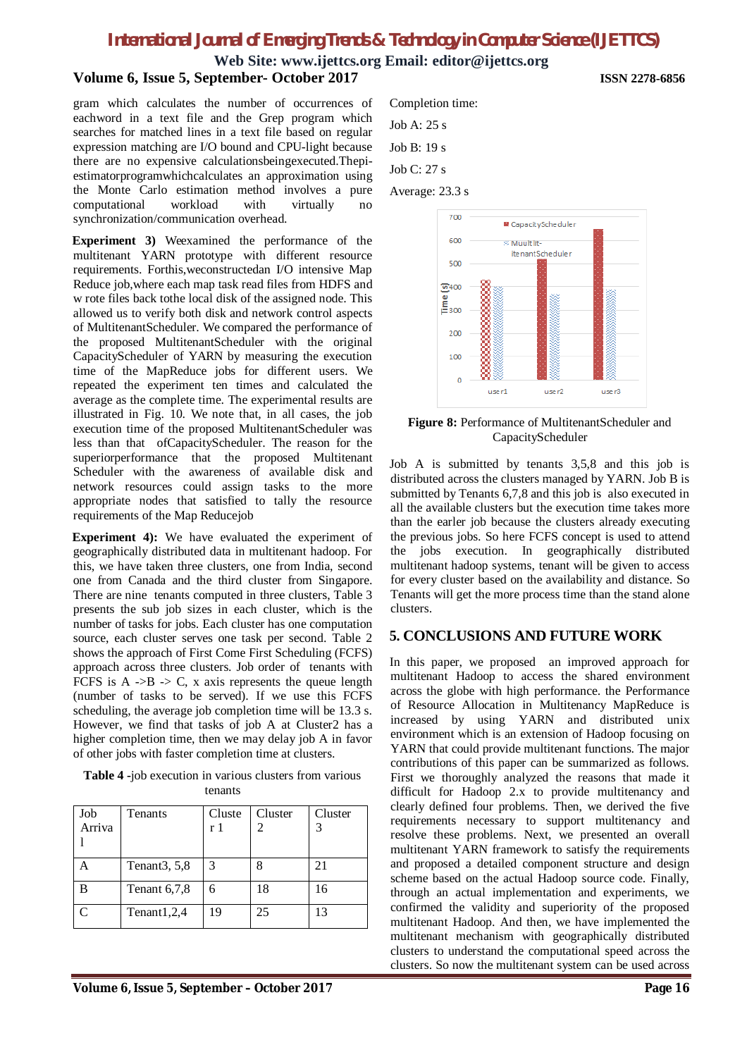**Web Site: www.ijettcs.org Email: editor@ijettcs.org**

### **Volume 6, Issue 5, September- October 2017 ISSN 2278-6856**

gram which calculates the number of occurrences of eachword in a text file and the Grep program which searches for matched lines in a text file based on regular expression matching are I/O bound and CPU-light because there are no expensive calculationsbeingexecuted.Thepiestimatorprogramwhichcalculates an approximation using the Monte Carlo estimation method involves a pure computational workload with virtually no synchronization/communication overhead.

**Experiment 3)** Weexamined the performance of the multitenant YARN prototype with different resource requirements. Forthis,weconstructedan I/O intensive Map Reduce job,where each map task read files from HDFS and w rote files back tothe local disk of the assigned node. This allowed us to verify both disk and network control aspects of MultitenantScheduler. We compared the performance of the proposed MultitenantScheduler with the original CapacityScheduler of YARN by measuring the execution time of the MapReduce jobs for different users. We repeated the experiment ten times and calculated the average as the complete time. The experimental results are illustrated in Fig. 10. We note that, in all cases, the job execution time of the proposed MultitenantScheduler was less than that ofCapacityScheduler. The reason for the superiorperformance that the proposed Multitenant Scheduler with the awareness of available disk and network resources could assign tasks to the more appropriate nodes that satisfied to tally the resource requirements of the Map Reducejob

**Experiment 4):** We have evaluated the experiment of geographically distributed data in multitenant hadoop. For this, we have taken three clusters, one from India, second one from Canada and the third cluster from Singapore. There are nine tenants computed in three clusters, Table 3 presents the sub job sizes in each cluster, which is the number of tasks for jobs. Each cluster has one computation source, each cluster serves one task per second. Table 2 shows the approach of First Come First Scheduling (FCFS) approach across three clusters. Job order of tenants with FCFS is  $A \rightarrow B \rightarrow C$ , x axis represents the queue length (number of tasks to be served). If we use this FCFS scheduling, the average job completion time will be 13.3 s. However, we find that tasks of job A at Cluster2 has a higher completion time, then we may delay job A in favor of other jobs with faster completion time at clusters.

**Table 4 -**job execution in various clusters from various tenants

| Job<br>Arriva | Tenants                   | Cluste<br>r 1 | Cluster | Cluster |
|---------------|---------------------------|---------------|---------|---------|
|               | Tenant <sub>3</sub> , 5,8 | 3             |         | 21      |
|               | Tenant 6,7,8              |               | 18      | 16      |
|               | Tenant1,2,4               | 19            | 25      | 13      |



```
Job A: 25 s
Job B: 19 s
Job C: 27 s
Average: 23.3 s
```


**Figure 8:** Performance of MultitenantScheduler and CapacityScheduler

Job A is submitted by tenants 3,5,8 and this job is distributed across the clusters managed by YARN. Job B is submitted by Tenants 6,7,8 and this job is also executed in all the available clusters but the execution time takes more than the earler job because the clusters already executing the previous jobs. So here FCFS concept is used to attend the jobs execution. In geographically distributed multitenant hadoop systems, tenant will be given to access for every cluster based on the availability and distance. So Tenants will get the more process time than the stand alone clusters.

### **5. CONCLUSIONS AND FUTURE WORK**

In this paper, we proposed an improved approach for multitenant Hadoop to access the shared environment across the globe with high performance. the Performance of Resource Allocation in Multitenancy MapReduce is increased by using YARN and distributed unix environment which is an extension of Hadoop focusing on YARN that could provide multitenant functions. The major contributions of this paper can be summarized as follows. First we thoroughly analyzed the reasons that made it difficult for Hadoop 2.x to provide multitenancy and clearly defined four problems. Then, we derived the five requirements necessary to support multitenancy and resolve these problems. Next, we presented an overall multitenant YARN framework to satisfy the requirements and proposed a detailed component structure and design scheme based on the actual Hadoop source code. Finally, through an actual implementation and experiments, we confirmed the validity and superiority of the proposed multitenant Hadoop. And then, we have implemented the multitenant mechanism with geographically distributed clusters to understand the computational speed across the clusters. So now the multitenant system can be used across